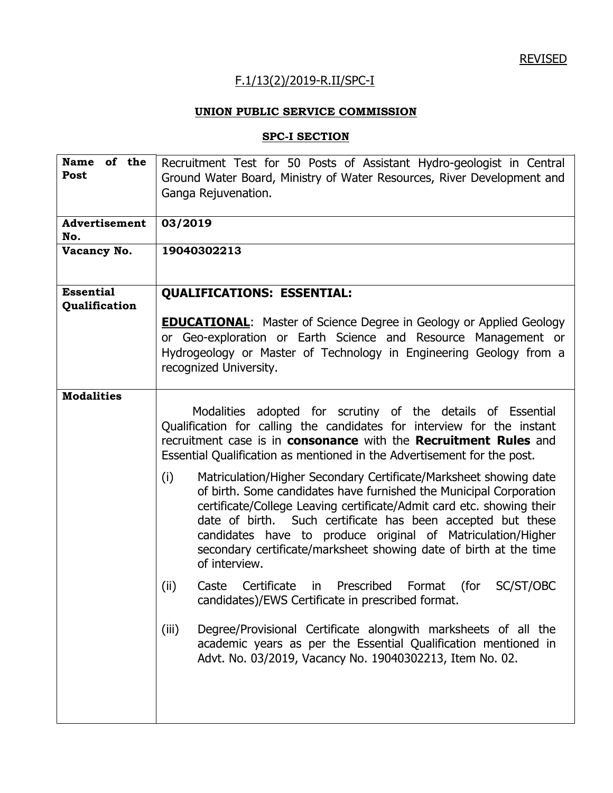## F.1/13(2)/2019-R.II/SPC-I

## **UNION PUBLIC SERVICE COMMISSION**

## **SPC-I SECTION**

| <b>Name</b><br>of the | Recruitment Test for 50 Posts of Assistant Hydro-geologist in Central          |  |  |
|-----------------------|--------------------------------------------------------------------------------|--|--|
| Post                  | Ground Water Board, Ministry of Water Resources, River Development and         |  |  |
|                       | Ganga Rejuvenation.                                                            |  |  |
|                       |                                                                                |  |  |
| Advertisement         | 03/2019                                                                        |  |  |
| No.                   |                                                                                |  |  |
| Vacancy No.           | 19040302213                                                                    |  |  |
|                       |                                                                                |  |  |
|                       |                                                                                |  |  |
| <b>Essential</b>      | <b>QUALIFICATIONS: ESSENTIAL:</b>                                              |  |  |
| Qualification         |                                                                                |  |  |
|                       | <b>EDUCATIONAL:</b> Master of Science Degree in Geology or Applied Geology     |  |  |
|                       |                                                                                |  |  |
|                       | or Geo-exploration or Earth Science and Resource Management or                 |  |  |
|                       | Hydrogeology or Master of Technology in Engineering Geology from a             |  |  |
|                       | recognized University.                                                         |  |  |
| <b>Modalities</b>     |                                                                                |  |  |
|                       |                                                                                |  |  |
|                       | Modalities adopted for scrutiny of the details of Essential                    |  |  |
|                       | Qualification for calling the candidates for interview for the instant         |  |  |
|                       | recruitment case is in <b>consonance</b> with the <b>Recruitment Rules</b> and |  |  |
|                       | Essential Qualification as mentioned in the Advertisement for the post.        |  |  |
|                       | Matriculation/Higher Secondary Certificate/Marksheet showing date<br>(i)       |  |  |
|                       | of birth. Some candidates have furnished the Municipal Corporation             |  |  |
|                       | certificate/College Leaving certificate/Admit card etc. showing their          |  |  |
|                       | date of birth. Such certificate has been accepted but these                    |  |  |
|                       | candidates have to produce original of Matriculation/Higher                    |  |  |
|                       | secondary certificate/marksheet showing date of birth at the time              |  |  |
|                       | of interview.                                                                  |  |  |
|                       |                                                                                |  |  |
|                       | (ii)<br>Certificate<br>Prescribed Format<br>(for<br>SC/ST/OBC<br>Caste<br>in   |  |  |
|                       | candidates)/EWS Certificate in prescribed format.                              |  |  |
|                       |                                                                                |  |  |
|                       | Degree/Provisional Certificate alongwith marksheets of all the<br>(iii)        |  |  |
|                       | academic years as per the Essential Qualification mentioned in                 |  |  |
|                       | Advt. No. 03/2019, Vacancy No. 19040302213, Item No. 02.                       |  |  |
|                       |                                                                                |  |  |
|                       |                                                                                |  |  |
|                       |                                                                                |  |  |
|                       |                                                                                |  |  |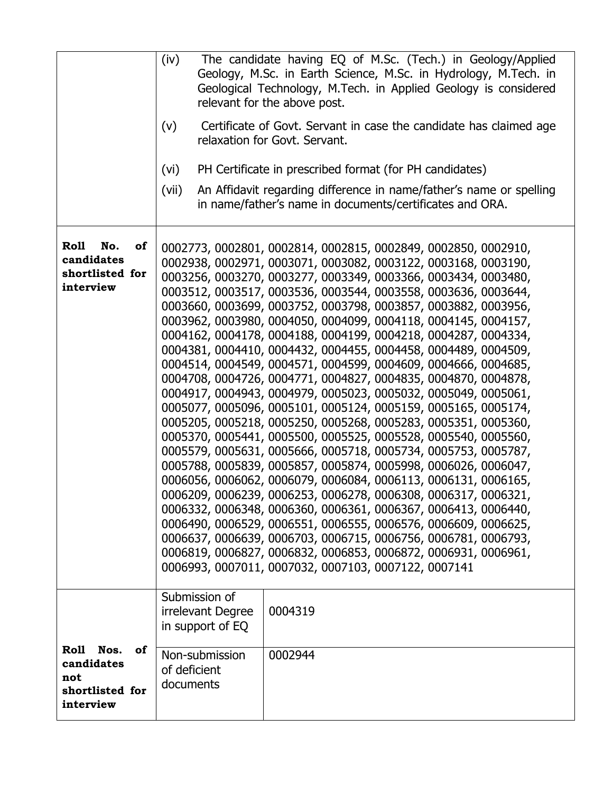|                                                                        | The candidate having EQ of M.Sc. (Tech.) in Geology/Applied<br>(iv)<br>Geology, M.Sc. in Earth Science, M.Sc. in Hydrology, M.Tech. in<br>Geological Technology, M.Tech. in Applied Geology is considered<br>relevant for the above post.<br>Certificate of Govt. Servant in case the candidate has claimed age<br>(v)<br>relaxation for Govt. Servant.<br>PH Certificate in prescribed format (for PH candidates)<br>(vi)                                                                                                                                                                                                                                                                                                                                                                                                                                                                                                                                                                                                                                                                                                                                                                                                                                                                                                                                                                                                                                                                                                                                       |
|------------------------------------------------------------------------|------------------------------------------------------------------------------------------------------------------------------------------------------------------------------------------------------------------------------------------------------------------------------------------------------------------------------------------------------------------------------------------------------------------------------------------------------------------------------------------------------------------------------------------------------------------------------------------------------------------------------------------------------------------------------------------------------------------------------------------------------------------------------------------------------------------------------------------------------------------------------------------------------------------------------------------------------------------------------------------------------------------------------------------------------------------------------------------------------------------------------------------------------------------------------------------------------------------------------------------------------------------------------------------------------------------------------------------------------------------------------------------------------------------------------------------------------------------------------------------------------------------------------------------------------------------|
|                                                                        | (vii)<br>An Affidavit regarding difference in name/father's name or spelling<br>in name/father's name in documents/certificates and ORA.                                                                                                                                                                                                                                                                                                                                                                                                                                                                                                                                                                                                                                                                                                                                                                                                                                                                                                                                                                                                                                                                                                                                                                                                                                                                                                                                                                                                                         |
| <b>Roll</b><br>No.<br>of<br>candidates<br>shortlisted for<br>interview | 0002773, 0002801, 0002814, 0002815, 0002849, 0002850, 0002910,<br>0002938, 0002971, 0003071, 0003082, 0003122, 0003168, 0003190,<br>0003256, 0003270, 0003277, 0003349, 0003366, 0003434, 0003480,<br>0003512, 0003517, 0003536, 0003544, 0003558, 0003636, 0003644,<br>0003660, 0003699, 0003752, 0003798, 0003857, 0003882, 0003956,<br>0003962, 0003980, 0004050, 0004099, 0004118, 0004145, 0004157,<br>0004162, 0004178, 0004188, 0004199, 0004218, 0004287, 0004334,<br>0004381, 0004410, 0004432, 0004455, 0004458, 0004489, 0004509,<br>0004514, 0004549, 0004571, 0004599, 0004609, 0004666, 0004685,<br>0004708, 0004726, 0004771, 0004827, 0004835, 0004870, 0004878,<br>0004917, 0004943, 0004979, 0005023, 0005032, 0005049, 0005061,<br>0005077, 0005096, 0005101, 0005124, 0005159, 0005165, 0005174,<br>0005205, 0005218, 0005250, 0005268, 0005283, 0005351, 0005360,<br>0005370, 0005441, 0005500, 0005525, 0005528, 0005540, 0005560,<br>0005579, 0005631, 0005666, 0005718, 0005734, 0005753, 0005787,<br>0005788, 0005839, 0005857, 0005874, 0005998, 0006026, 0006047,<br>0006056, 0006062, 0006079, 0006084, 0006113, 0006131, 0006165,<br>0006209, 0006239, 0006253, 0006278, 0006308, 0006317, 0006321,<br>0006332, 0006348, 0006360, 0006361, 0006367, 0006413, 0006440,<br>0006490, 0006529, 0006551, 0006555, 0006576, 0006609, 0006625,<br>0006637, 0006639, 0006703, 0006715, 0006756, 0006781, 0006793,<br>0006819, 0006827, 0006832, 0006853, 0006872, 0006931, 0006961,<br>0006993, 0007011, 0007032, 0007103, 0007122, 0007141 |
|                                                                        | Submission of<br>irrelevant Degree<br>0004319<br>in support of EQ                                                                                                                                                                                                                                                                                                                                                                                                                                                                                                                                                                                                                                                                                                                                                                                                                                                                                                                                                                                                                                                                                                                                                                                                                                                                                                                                                                                                                                                                                                |
| Roll Nos.<br>οf<br>candidates<br>not<br>shortlisted for<br>interview   | Non-submission<br>0002944<br>of deficient<br>documents                                                                                                                                                                                                                                                                                                                                                                                                                                                                                                                                                                                                                                                                                                                                                                                                                                                                                                                                                                                                                                                                                                                                                                                                                                                                                                                                                                                                                                                                                                           |